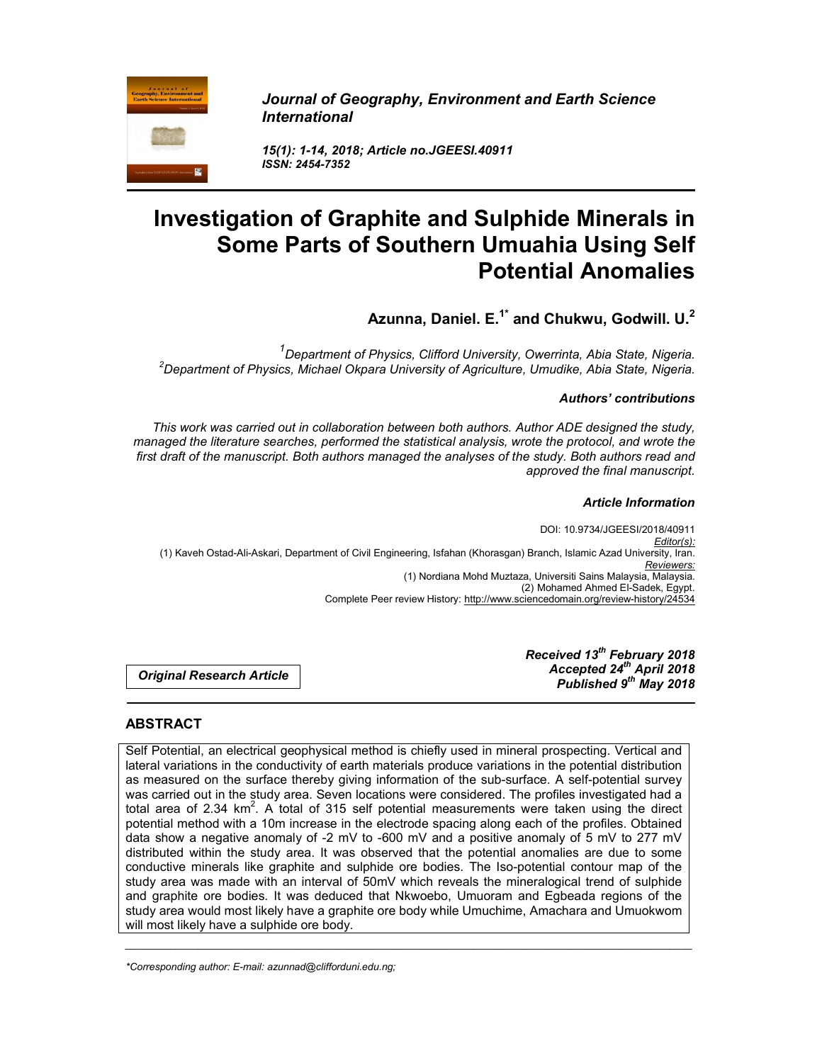

*Journal of Geography, Environment and Earth Science International*

*15(1): 1-14, 2018; Article no.JGEESI.40911 ISSN: 2454-7352*

# **Investigation of Graphite and Sulphide Minerals in Some Parts of Southern Umuahia Using Self Potential Anomalies**

**Azunna, Daniel. E. 1\* and Chukwu, Godwill. U. 2**

*1*<br>Department of Physics, Clifford University, Owerrinta, Abia State, Nigeria.<br><sup>2</sup> Department of Physics, Michael Okpara University of Agriculture, Umudike, Abia State, Nigeria. <sup>2</sup>Department of Physics, Michael Okpara University of Agriculture, Umudike, Abia State, Nigeria.

#### *Authors' contributions*

*This work was carried out in collaboration between both authors. Author ADE designed the study, managed the literature searches, performed the statistical analysis, wrote the protocol, and wrote the first draft of the manuscript. Both authors managed the analyses of the study. Both authors read and approved the final manuscript.*

#### *Article Information*

DOI: 10.9734/JGEESI/2018/40911 *Editor(s):* (1) Kaveh Ostad-Ali-Askari, Department of Civil Engineering, Isfahan (Khorasgan) Branch, Islamic Azad University, Iran. *Reviewers:* (1) Nordiana Mohd Muztaza, Universiti Sains Malaysia, Malaysia. (2) Mohamed Ahmed El-Sadek, Egypt. Complete Peer review History: http://www.sciencedomain.org/review-history/24534

*Original Research Article*

*Received 13th February 2018 Accepted 24th April 2018 Published 9th May 2018*

# **ABSTRACT**

Self Potential, an electrical geophysical method is chiefly used in mineral prospecting. Vertical and lateral variations in the conductivity of earth materials produce variations in the potential distribution as measured on the surface thereby giving information of the sub-surface. A self-potential survey was carried out in the study area. Seven locations were considered. The profiles investigated had a total area of 2.34  $km^2$ . A total of 315 self potential measurements were taken using the direct potential method with a 10m increase in the electrode spacing along each of the profiles. Obtained data show a negative anomaly of -2 mV to -600 mV and a positive anomaly of 5 mV to 277 mV distributed within the study area. It was observed that the potential anomalies are due to some conductive minerals like graphite and sulphide ore bodies. The Iso-potential contour map of the study area was made with an interval of 50mV which reveals the mineralogical trend of sulphide and graphite ore bodies. It was deduced that Nkwoebo, Umuoram and Egbeada regions of the study area would most likely have a graphite ore body while Umuchime, Amachara and Umuokwom will most likely have a sulphide ore body.

*\_\_\_\_\_\_\_\_\_\_\_\_\_\_\_\_\_\_\_\_\_\_\_\_\_\_\_\_\_\_\_\_\_\_\_\_\_\_\_\_\_\_\_\_\_\_\_\_\_\_\_\_\_\_\_\_\_\_\_\_\_\_\_\_\_\_\_\_\_\_\_\_\_\_\_\_\_\_\_\_\_\_\_\_\_\_\_\_\_\_\_\_\_\_\_\_\_\_\_\_\_*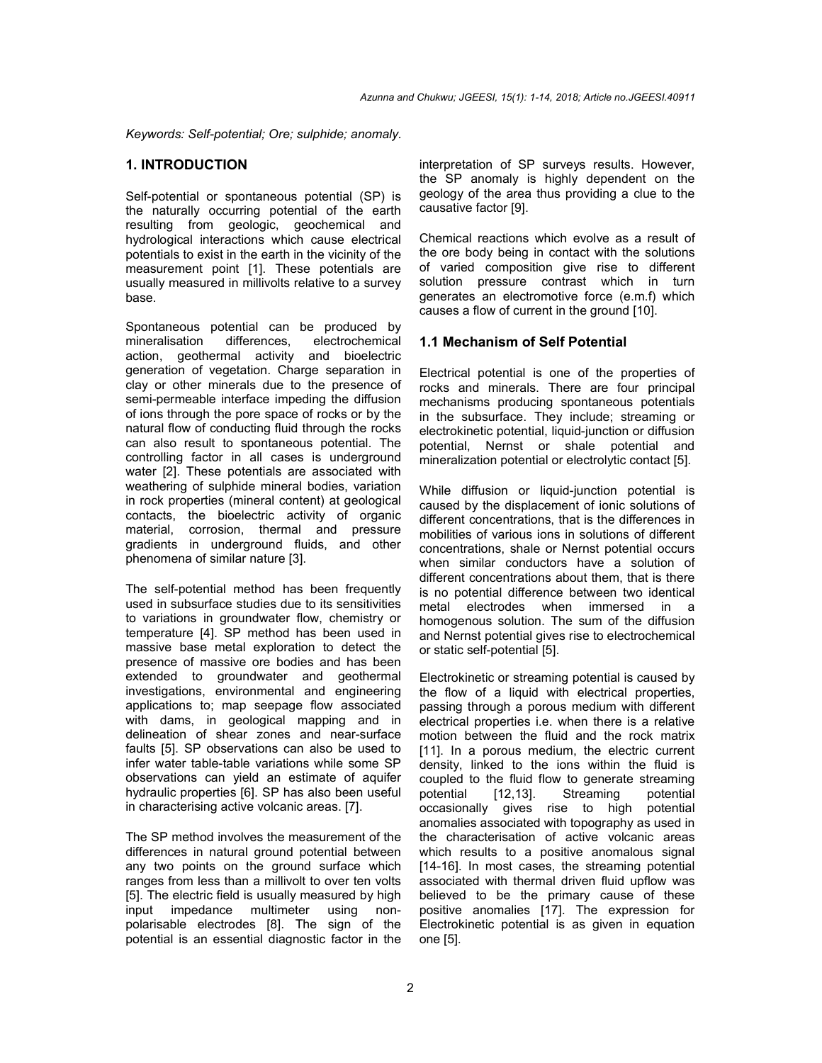*Keywords: Self-potential; Ore; sulphide; anomaly.* 

## **1. INTRODUCTION**

Self-potential or spontaneous potential (SP) is the naturally occurring potential of the earth resulting from geologic, geochemical and hydrological interactions which cause electrical potentials to exist in the earth in the vicinity of the measurement point [1]. These potentials are usually measured in millivolts relative to a survey base.

Spontaneous potential can be produced by mineralisation differences, electrochemical action, geothermal activity and bioelectric generation of vegetation. Charge separation in clay or other minerals due to the presence of semi-permeable interface impeding the diffusion of ions through the pore space of rocks or by the natural flow of conducting fluid through the rocks can also result to spontaneous potential. The controlling factor in all cases is underground water [2]. These potentials are associated with weathering of sulphide mineral bodies, variation in rock properties (mineral content) at geological contacts, the bioelectric activity of organic material, corrosion, thermal and pressure gradients in underground fluids, and other phenomena of similar nature [3].

The self-potential method has been frequently used in subsurface studies due to its sensitivities to variations in groundwater flow, chemistry or temperature [4]. SP method has been used in massive base metal exploration to detect the presence of massive ore bodies and has been extended to groundwater and geothermal investigations, environmental and engineering applications to; map seepage flow associated with dams, in geological mapping and in delineation of shear zones and near-surface faults [5]. SP observations can also be used to infer water table-table variations while some SP observations can yield an estimate of aquifer hydraulic properties [6]. SP has also been useful in characterising active volcanic areas. [7].

The SP method involves the measurement of the differences in natural ground potential between any two points on the ground surface which ranges from less than a millivolt to over ten volts [5]. The electric field is usually measured by high input impedance multimeter using nonpolarisable electrodes [8]. The sign of the potential is an essential diagnostic factor in the interpretation of SP surveys results. However, the SP anomaly is highly dependent on the geology of the area thus providing a clue to the causative factor [9].

Chemical reactions which evolve as a result of the ore body being in contact with the solutions of varied composition give rise to different solution pressure contrast which in turn generates an electromotive force (e.m.f) which causes a flow of current in the ground [10].

#### **1.1 Mechanism of Self Potential**

Electrical potential is one of the properties of rocks and minerals. There are four principal mechanisms producing spontaneous potentials in the subsurface. They include; streaming or electrokinetic potential, liquid-junction or diffusion potential, Nernst or shale potential and mineralization potential or electrolytic contact [5].

While diffusion or liquid-junction potential is caused by the displacement of ionic solutions of different concentrations, that is the differences in mobilities of various ions in solutions of different concentrations, shale or Nernst potential occurs when similar conductors have a solution of different concentrations about them, that is there is no potential difference between two identical metal electrodes when immersed in a homogenous solution. The sum of the diffusion and Nernst potential gives rise to electrochemical or static self-potential [5].

Electrokinetic or streaming potential is caused by the flow of a liquid with electrical properties, passing through a porous medium with different electrical properties i.e. when there is a relative motion between the fluid and the rock matrix [11]. In a porous medium, the electric current density, linked to the ions within the fluid is coupled to the fluid flow to generate streaming potential [12,13]. Streaming potential occasionally gives rise to high potential anomalies associated with topography as used in the characterisation of active volcanic areas which results to a positive anomalous signal [14-16]. In most cases, the streaming potential associated with thermal driven fluid upflow was believed to be the primary cause of these positive anomalies [17]. The expression for Electrokinetic potential is as given in equation one [5].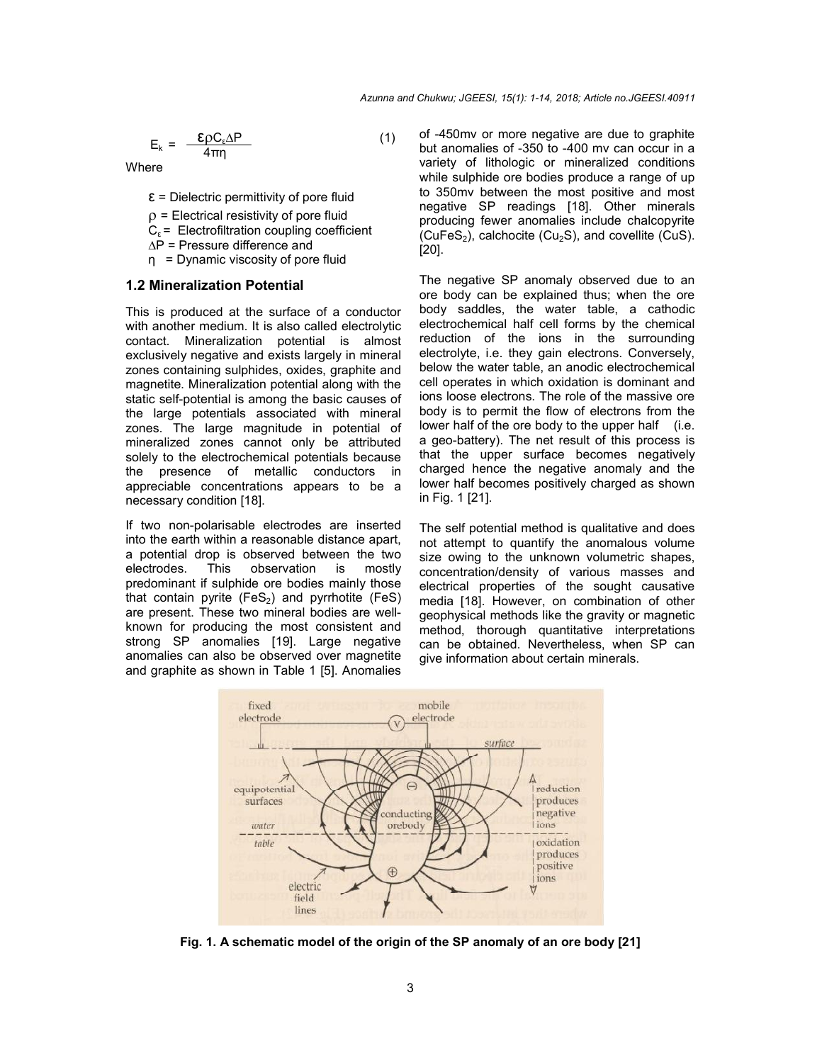$$
E_k = \frac{\mathcal{E} \rho C_e \Delta P}{4\pi \eta} \tag{1}
$$

**Where** 

 $\epsilon$  = Dielectric permittivity of pore fluid

 $\rho$  = Electrical resistivity of pore fluid

 $C_{\epsilon}$  = Electrofiltration coupling coefficient

∆P = Pressure difference and

η = Dynamic viscosity of pore fluid

#### **1.2 Mineralization Potential**

This is produced at the surface of a conductor with another medium. It is also called electrolytic contact. Mineralization potential is almost exclusively negative and exists largely in mineral zones containing sulphides, oxides, graphite and magnetite. Mineralization potential along with the static self-potential is among the basic causes of the large potentials associated with mineral zones. The large magnitude in potential of mineralized zones cannot only be attributed solely to the electrochemical potentials because the presence of metallic conductors in appreciable concentrations appears to be a necessary condition [18].

If two non-polarisable electrodes are inserted into the earth within a reasonable distance apart, a potential drop is observed between the two electrodes. This observation is mostly predominant if sulphide ore bodies mainly those that contain pyrite  $(Fes<sub>2</sub>)$  and pyrrhotite  $(Fes)$ are present. These two mineral bodies are wellknown for producing the most consistent and strong SP anomalies [19]. Large negative anomalies can also be observed over magnetite and graphite as shown in Table 1 [5]. Anomalies

of -450mv or more negative are due to graphite but anomalies of -350 to -400 mv can occur in a variety of lithologic or mineralized conditions while sulphide ore bodies produce a range of up to 350mv between the most positive and most negative SP readings [18]. Other minerals producing fewer anomalies include chalcopyrite  $(CuFeS<sub>2</sub>)$ , calchocite  $(Cu<sub>2</sub>S)$ , and covellite  $(CuS)$ . [20].

The negative SP anomaly observed due to an ore body can be explained thus; when the ore body saddles, the water table, a cathodic electrochemical half cell forms by the chemical reduction of the ions in the surrounding electrolyte, i.e. they gain electrons. Conversely, below the water table, an anodic electrochemical cell operates in which oxidation is dominant and ions loose electrons. The role of the massive ore body is to permit the flow of electrons from the lower half of the ore body to the upper half (i.e. a geo-battery). The net result of this process is that the upper surface becomes negatively charged hence the negative anomaly and the lower half becomes positively charged as shown in Fig. 1 [21].

The self potential method is qualitative and does not attempt to quantify the anomalous volume size owing to the unknown volumetric shapes, concentration/density of various masses and electrical properties of the sought causative media [18]. However, on combination of other geophysical methods like the gravity or magnetic method, thorough quantitative interpretations can be obtained. Nevertheless, when SP can give information about certain minerals.



**Fig. 1. A schematic model of the origin of the SP anomaly of an ore body [21]**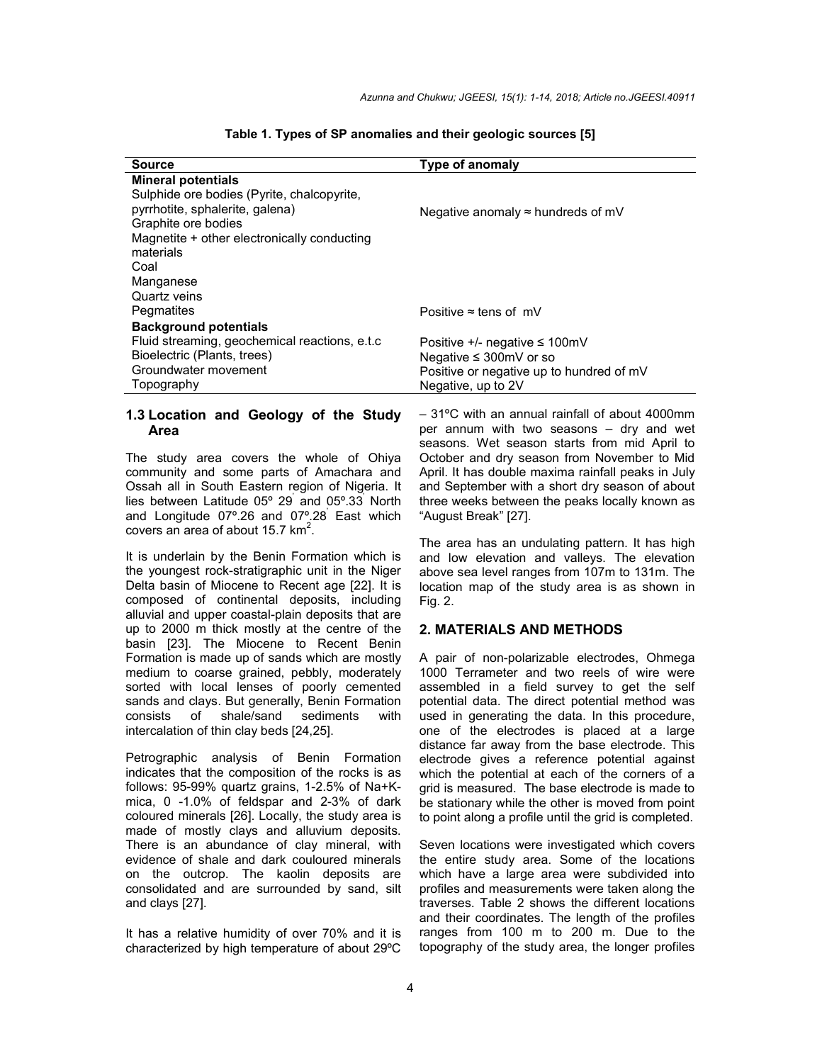| Source                                        | <b>Type of anomaly</b>                    |
|-----------------------------------------------|-------------------------------------------|
| <b>Mineral potentials</b>                     |                                           |
| Sulphide ore bodies (Pyrite, chalcopyrite,    |                                           |
| pyrrhotite, sphalerite, galena)               | Negative anomaly $\approx$ hundreds of mV |
| Graphite ore bodies                           |                                           |
| Magnetite + other electronically conducting   |                                           |
| materials                                     |                                           |
| Coal                                          |                                           |
| Manganese                                     |                                           |
| Quartz veins                                  |                                           |
| Pegmatites                                    | Positive $\approx$ tens of mV             |
| <b>Background potentials</b>                  |                                           |
| Fluid streaming, geochemical reactions, e.t.c | Positive $+/-$ negative $\leq 100$ mV     |
| Bioelectric (Plants, trees)                   | Negative $\leq$ 300mV or so               |
| Groundwater movement                          | Positive or negative up to hundred of mV  |
| Topography                                    | Negative, up to 2V                        |

#### **Table 1. Types of SP anomalies and their geologic sources [5]**

## **1.3 Location and Geology of the Study Area**

The study area covers the whole of Ohiya community and some parts of Amachara and Ossah all in South Eastern region of Nigeria. It lies between Latitude 05º 29' and 05º.33' North and Longitude 07º.26 and 07º.28' East which covers an area of about  $15.7 \text{ km}^2$ .

It is underlain by the Benin Formation which is the youngest rock-stratigraphic unit in the Niger Delta basin of Miocene to Recent age [22]. It is composed of continental deposits, including alluvial and upper coastal-plain deposits that are up to 2000 m thick mostly at the centre of the basin [23]. The Miocene to Recent Benin Formation is made up of sands which are mostly medium to coarse grained, pebbly, moderately sorted with local lenses of poorly cemented sands and clays. But generally, Benin Formation consists of shale/sand sediments with intercalation of thin clay beds [24,25].

Petrographic analysis of Benin Formation indicates that the composition of the rocks is as follows: 95-99% quartz grains, 1-2.5% of Na+Kmica, 0 -1.0% of feldspar and 2-3% of dark coloured minerals [26]. Locally, the study area is made of mostly clays and alluvium deposits. There is an abundance of clay mineral, with evidence of shale and dark couloured minerals on the outcrop. The kaolin deposits are consolidated and are surrounded by sand, silt and clays [27].

It has a relative humidity of over 70% and it is characterized by high temperature of about 29ºC

– 31ºC with an annual rainfall of about 4000mm per annum with two seasons – dry and wet seasons. Wet season starts from mid April to October and dry season from November to Mid April. It has double maxima rainfall peaks in July and September with a short dry season of about three weeks between the peaks locally known as "August Break" [27].

The area has an undulating pattern. It has high and low elevation and valleys. The elevation above sea level ranges from 107m to 131m. The location map of the study area is as shown in Fig. 2.

#### **2. MATERIALS AND METHODS**

A pair of non-polarizable electrodes, Ohmega 1000 Terrameter and two reels of wire were assembled in a field survey to get the self potential data. The direct potential method was used in generating the data. In this procedure, one of the electrodes is placed at a large distance far away from the base electrode. This electrode gives a reference potential against which the potential at each of the corners of a grid is measured. The base electrode is made to be stationary while the other is moved from point to point along a profile until the grid is completed.

Seven locations were investigated which covers the entire study area. Some of the locations which have a large area were subdivided into profiles and measurements were taken along the traverses. Table 2 shows the different locations and their coordinates. The length of the profiles ranges from 100 m to 200 m. Due to the topography of the study area, the longer profiles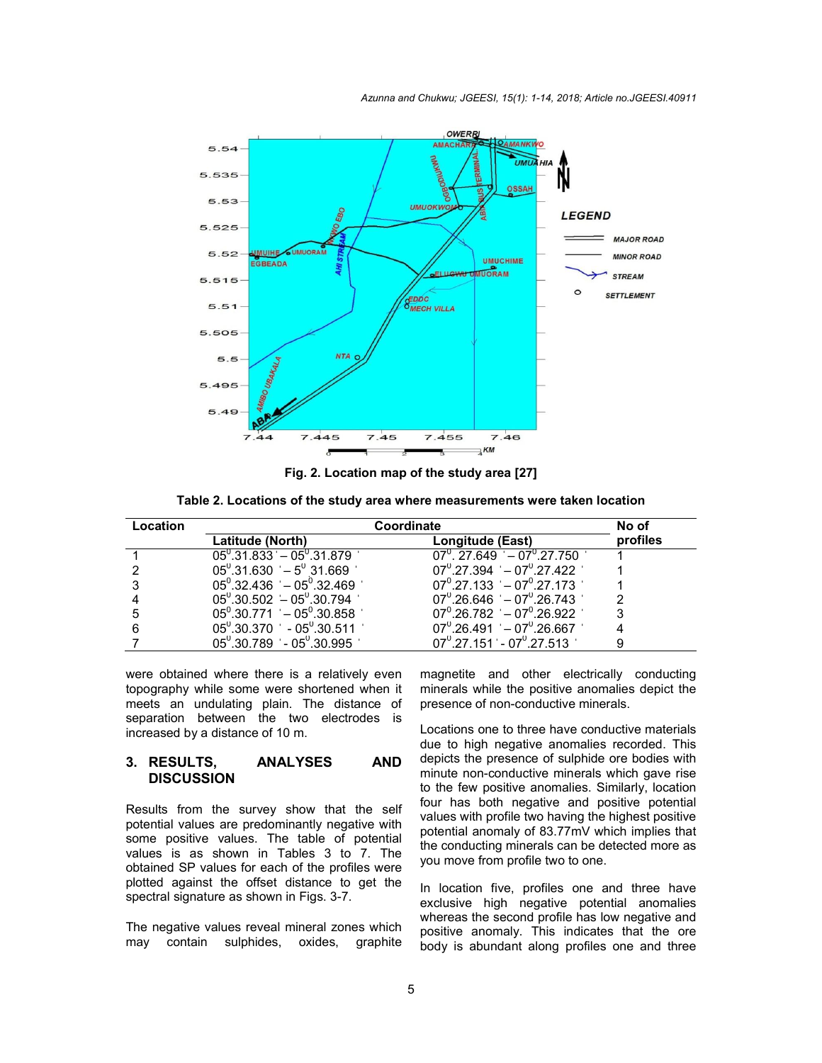

**Fig. 2. Location map of the study area [27]**

**Table 2. Locations of the study area where measurements were taken location**

| Location | Coordinate                                                         | No of                                                 |          |
|----------|--------------------------------------------------------------------|-------------------------------------------------------|----------|
|          | Latitude (North)                                                   | Longitude (East)                                      | profiles |
|          | $05^{\circ}.31.833 - 05^{\circ}.31.879$                            | $07^{\circ}$ , 27.649 $-07^{\circ}$ , 27.750          |          |
|          | $05^{\circ}$ .31.630 ' - $5^{\circ}$ 31.669 '                      | $07^{\circ}.27.394$ – $07^{\circ}.27.422$             |          |
|          | $05^{\circ}$ .32.436 ' - $05^{\circ}$ .32.469 '                    | $07^{\circ}$ ,27,133 $-07^{\circ}$ ,27,173            |          |
|          | $05^{\circ}$ .30.502 $-05^{\circ}$ .30.794                         | $07^{\circ}$ ,26.646 ' - 07 $^{\circ}$ ,26.743 '      |          |
|          | $05^{\circ}$ .30.771 $-05^{\circ}$ .30.858                         | $07^{\circ}$ ,26,782 $-07^{\circ}$ ,26,922 $^{\circ}$ |          |
|          | $05^{\circ}$ ,30,370 $^{\circ}$ - 05 $^{\circ}$ ,30,511 $^{\circ}$ | $07^{\circ}$ .26.491 $-07^{\circ}$ .26.667            |          |
|          | $05^{\circ}$ .30.789 ' - 05 $^{\circ}$ .30.995 '                   | $07^{\circ}$ ,27,151 - $07^{\circ}$ ,27,513 '         |          |

were obtained where there is a relatively even topography while some were shortened when it meets an undulating plain. The distance of separation between the two electrodes is increased by a distance of 10 m.

#### **3. RESULTS, ANALYSES AND DISCUSSION**

Results from the survey show that the self potential values are predominantly negative with some positive values. The table of potential values is as shown in Tables 3 to 7. The obtained SP values for each of the profiles were plotted against the offset distance to get the spectral signature as shown in Figs. 3-7.

The negative values reveal mineral zones which may contain sulphides, oxides, graphite magnetite and other electrically conducting minerals while the positive anomalies depict the presence of non-conductive minerals.

Locations one to three have conductive materials due to high negative anomalies recorded. This depicts the presence of sulphide ore bodies with minute non-conductive minerals which gave rise to the few positive anomalies. Similarly, location four has both negative and positive potential values with profile two having the highest positive potential anomaly of 83.77mV which implies that the conducting minerals can be detected more as you move from profile two to one.

In location five, profiles one and three have exclusive high negative potential anomalies whereas the second profile has low negative and positive anomaly. This indicates that the ore body is abundant along profiles one and three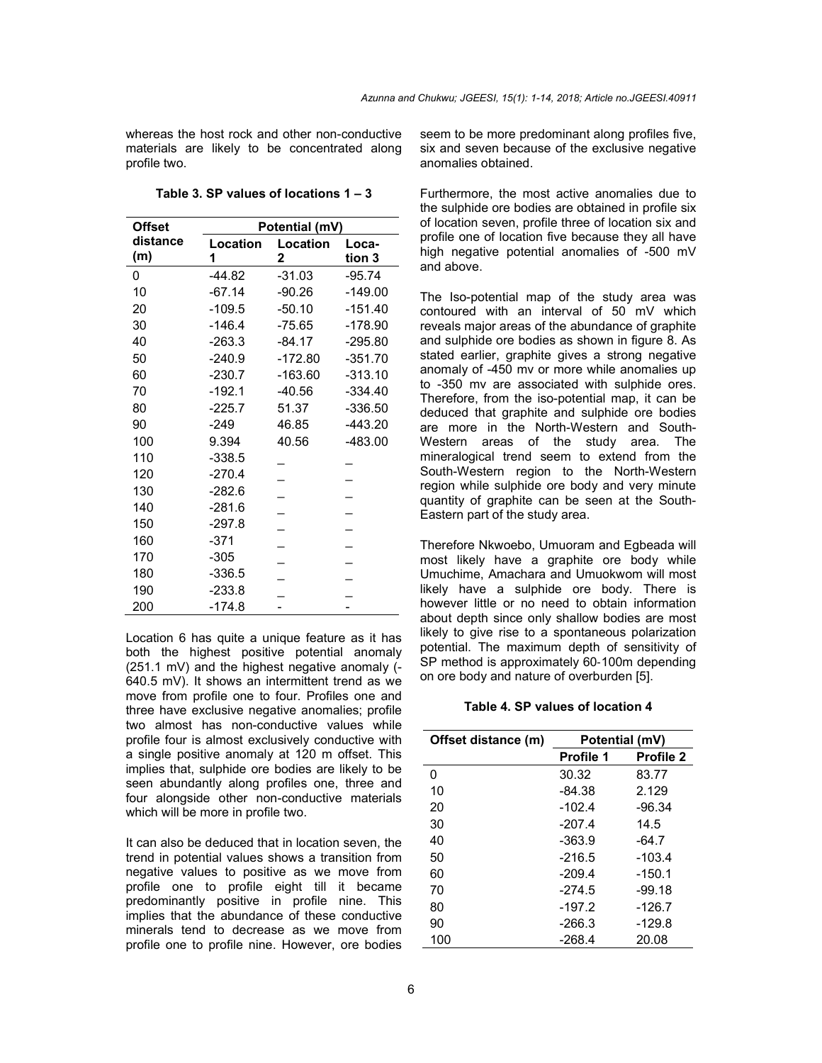whereas the host rock and other non-conductive materials are likely to be concentrated along profile two.

**Table 3. SP values of locations 1 – 3**

| <b>Offset</b> | Potential (mV) |                          |           |  |  |
|---------------|----------------|--------------------------|-----------|--|--|
| distance      | Location       | Location                 | Loca-     |  |  |
| (m)           | 1              | 2                        | tion 3    |  |  |
| 0             | $-44.82$       | $-31.03$                 | $-95.74$  |  |  |
| 10            | $-67.14$       | $-90.26$                 | $-149.00$ |  |  |
| 20            | $-109.5$       | $-50.10$                 | $-151.40$ |  |  |
| 30            | $-146.4$       | $-75.65$                 | -178.90   |  |  |
| 40            | $-263.3$       | $-84.17$                 | $-295.80$ |  |  |
| 50            | $-240.9$       | $-172.80$                | $-351.70$ |  |  |
| 60            | $-230.7$       | $-163.60$                | $-313.10$ |  |  |
| 70            | $-192.1$       | $-40.56$                 | $-334.40$ |  |  |
| 80            | $-225.7$       | 51.37                    | $-336.50$ |  |  |
| 90            | $-249$         | 46.85                    | $-443.20$ |  |  |
| 100           | 9.394          | 40.56                    | $-483.00$ |  |  |
| 110           | $-338.5$       |                          |           |  |  |
| 120           | $-270.4$       |                          |           |  |  |
| 130           | $-282.6$       |                          |           |  |  |
| 140           | $-281.6$       | $\overline{\phantom{0}}$ |           |  |  |
| 150           | $-297.8$       |                          |           |  |  |
| 160           | $-371$         |                          |           |  |  |
| 170           | $-305$         |                          |           |  |  |
| 180           | $-336.5$       |                          |           |  |  |
| 190           | $-233.8$       |                          |           |  |  |
| 200           | $-174.8$       |                          |           |  |  |

Location 6 has quite a unique feature as it has both the highest positive potential anomaly (251.1 mV) and the highest negative anomaly (- 640.5 mV). It shows an intermittent trend as we move from profile one to four. Profiles one and three have exclusive negative anomalies; profile two almost has non-conductive values while profile four is almost exclusively conductive with a single positive anomaly at 120 m offset. This implies that, sulphide ore bodies are likely to be seen abundantly along profiles one, three and four alongside other non-conductive materials which will be more in profile two.

It can also be deduced that in location seven, the trend in potential values shows a transition from negative values to positive as we move from profile one to profile eight till it became predominantly positive in profile nine. This implies that the abundance of these conductive minerals tend to decrease as we move from profile one to profile nine. However, ore bodies

seem to be more predominant along profiles five, six and seven because of the exclusive negative anomalies obtained.

Furthermore, the most active anomalies due to the sulphide ore bodies are obtained in profile six of location seven, profile three of location six and profile one of location five because they all have high negative potential anomalies of -500 mV and above.

The Iso-potential map of the study area was contoured with an interval of 50 mV which reveals major areas of the abundance of graphite and sulphide ore bodies as shown in figure 8. As stated earlier, graphite gives a strong negative anomaly of -450 mv or more while anomalies up to -350 mv are associated with sulphide ores. Therefore, from the iso-potential map, it can be deduced that graphite and sulphide ore bodies are more in the North-Western and South-Western areas of the study area. The mineralogical trend seem to extend from the South-Western region to the North-Western region while sulphide ore body and very minute quantity of graphite can be seen at the South-Eastern part of the study area.

Therefore Nkwoebo, Umuoram and Egbeada will most likely have a graphite ore body while Umuchime, Amachara and Umuokwom will most likely have a sulphide ore body. There is however little or no need to obtain information about depth since only shallow bodies are most likely to give rise to a spontaneous polarization potential. The maximum depth of sensitivity of SP method is approximately 60‐100m depending on ore body and nature of overburden [5].

**Table 4. SP values of location 4**

| Offset distance (m) | Potential (mV)   |                  |  |  |
|---------------------|------------------|------------------|--|--|
|                     | <b>Profile 1</b> | <b>Profile 2</b> |  |  |
| 0                   | 30.32            | 83.77            |  |  |
| 10                  | -84.38           | 2.129            |  |  |
| 20                  | $-102.4$         | -96.34           |  |  |
| 30                  | $-207.4$         | 14.5             |  |  |
| 40                  | $-363.9$         | -64.7            |  |  |
| 50                  | $-216.5$         | $-103.4$         |  |  |
| 60                  | $-209.4$         | -150.1           |  |  |
| 70                  | $-274.5$         | -99.18           |  |  |
| 80                  | $-197.2$         | $-126.7$         |  |  |
| 90                  | $-266.3$         | $-129.8$         |  |  |
| 100                 | -268.4           | 20.08            |  |  |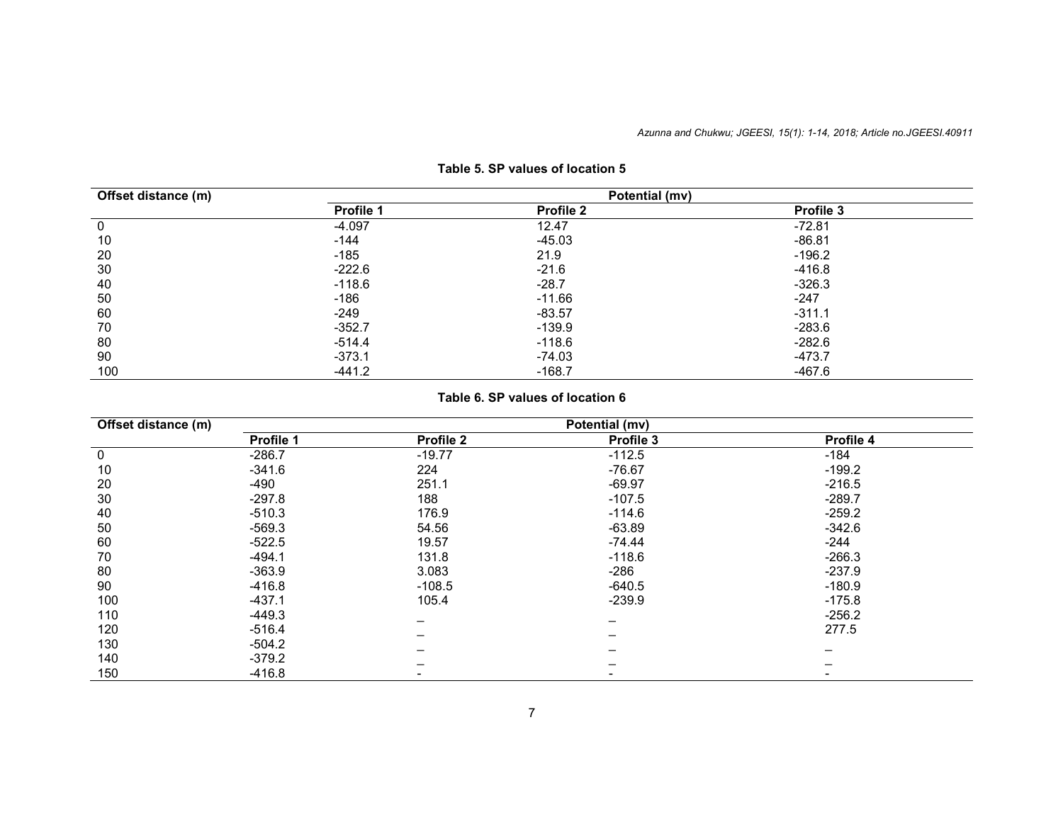| Offset distance (m) |           | Potential (mv) |           |  |
|---------------------|-----------|----------------|-----------|--|
|                     | Profile 1 | Profile 2      | Profile 3 |  |
| 0                   | $-4.097$  | 12.47          | $-72.81$  |  |
| 10                  | $-144$    | $-45.03$       | $-86.81$  |  |
| 20                  | $-185$    | 21.9           | $-196.2$  |  |
| 30                  | $-222.6$  | $-21.6$        | $-416.8$  |  |
| 40                  | $-118.6$  | $-28.7$        | $-326.3$  |  |
| 50                  | $-186$    | $-11.66$       | $-247$    |  |
| 60                  | $-249$    | $-83.57$       | $-311.1$  |  |
| 70                  | $-352.7$  | $-139.9$       | $-283.6$  |  |
| 80                  | -514.4    | $-118.6$       | $-282.6$  |  |
| 90                  | $-373.1$  | $-74.03$       | $-473.7$  |  |
| 100                 | $-441.2$  | $-168.7$       | $-467.6$  |  |

## **Table 5. SP values of location 5**

## **Table 6. SP values of location 6**

| Offset distance (m) | Potential (mv) |                   |           |           |  |  |
|---------------------|----------------|-------------------|-----------|-----------|--|--|
|                     | Profile 1      | Profile 2         | Profile 3 | Profile 4 |  |  |
| $\mathbf 0$         | $-286.7$       | $-19.77$          | $-112.5$  | $-184$    |  |  |
| 10                  | $-341.6$       | 224               | $-76.67$  | $-199.2$  |  |  |
| 20                  | -490           | 251.1<br>$-69.97$ |           | $-216.5$  |  |  |
| 30                  | $-297.8$       | 188               | $-107.5$  | $-289.7$  |  |  |
| 40                  | $-510.3$       | 176.9             | $-114.6$  | $-259.2$  |  |  |
| 50                  | $-569.3$       | 54.56<br>$-63.89$ |           | $-342.6$  |  |  |
| 60                  | $-522.5$       | 19.57             | $-74.44$  | -244      |  |  |
| 70                  | $-494.1$       | 131.8             | $-118.6$  | $-266.3$  |  |  |
| 80                  | $-363.9$       | 3.083             | $-286$    | $-237.9$  |  |  |
| 90                  | $-416.8$       | $-108.5$          | $-640.5$  | $-180.9$  |  |  |
| 100                 | $-437.1$       | 105.4             | $-239.9$  | $-175.8$  |  |  |
| 110                 | $-449.3$       |                   |           | $-256.2$  |  |  |
| 120                 | $-516.4$       |                   |           | 277.5     |  |  |
| 130                 | $-504.2$       |                   |           |           |  |  |
| 140                 | -379.2         |                   |           |           |  |  |
| 150                 | $-416.8$       |                   |           |           |  |  |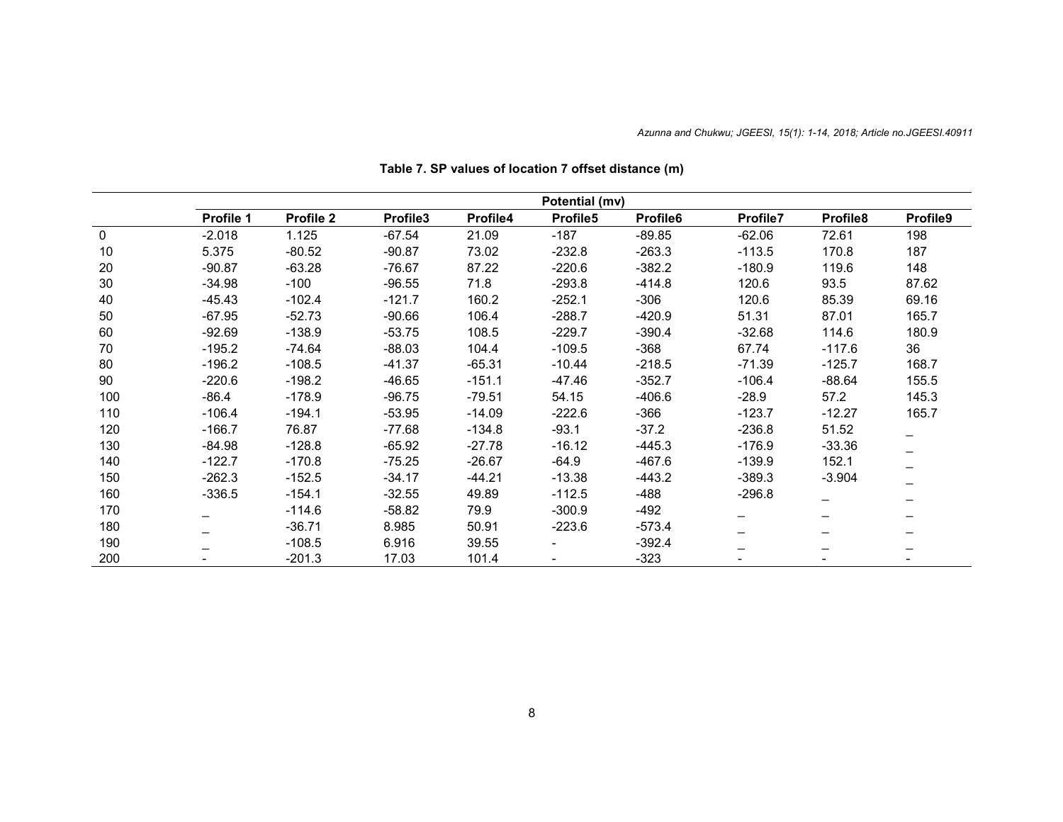|     | Potential (mv)  |           |          |          |          |          |          |                              |          |
|-----|-----------------|-----------|----------|----------|----------|----------|----------|------------------------------|----------|
|     | Profile 1       | Profile 2 | Profile3 | Profile4 | Profile5 | Profile6 | Profile7 | Profile8                     | Profile9 |
| 0   | $-2.018$        | 1.125     | $-67.54$ | 21.09    | $-187$   | $-89.85$ | $-62.06$ | 72.61                        | 198      |
| 10  | 5.375           | $-80.52$  | $-90.87$ | 73.02    | $-232.8$ | $-263.3$ | $-113.5$ | 170.8                        | 187      |
| 20  | $-90.87$        | $-63.28$  | $-76.67$ | 87.22    | $-220.6$ | $-382.2$ | $-180.9$ | 119.6                        | 148      |
| 30  | $-34.98$        | $-100$    | $-96.55$ | 71.8     | $-293.8$ | $-414.8$ | 120.6    | 93.5                         | 87.62    |
| 40  | $-45.43$        | $-102.4$  | $-121.7$ | 160.2    | $-252.1$ | $-306$   | 120.6    | 85.39                        | 69.16    |
| 50  | $-67.95$        | $-52.73$  | $-90.66$ | 106.4    | $-288.7$ | $-420.9$ | 51.31    | 87.01                        | 165.7    |
| 60  | $-92.69$        | $-138.9$  | $-53.75$ | 108.5    | $-229.7$ | $-390.4$ | $-32.68$ | 114.6                        | 180.9    |
| 70  | $-195.2$        | $-74.64$  | $-88.03$ | 104.4    | $-109.5$ | $-368$   | 67.74    | $-117.6$                     | 36       |
| 80  | $-196.2$        | $-108.5$  | $-41.37$ | $-65.31$ | $-10.44$ | $-218.5$ | $-71.39$ | $-125.7$                     | 168.7    |
| 90  | $-220.6$        | $-198.2$  | $-46.65$ | $-151.1$ | $-47.46$ | $-352.7$ | $-106.4$ | $-88.64$                     | 155.5    |
| 100 | $-86.4$         | $-178.9$  | $-96.75$ | $-79.51$ | 54.15    | $-406.6$ | $-28.9$  | 57.2                         | 145.3    |
| 110 | $-106.4$        | $-194.1$  | $-53.95$ | $-14.09$ | -222.6   | $-366$   | $-123.7$ | $-12.27$                     | 165.7    |
| 120 | $-166.7$        | 76.87     | $-77.68$ | $-134.8$ | $-93.1$  | $-37.2$  | $-236.8$ | 51.52                        | -        |
| 130 | $-84.98$        | $-128.8$  | $-65.92$ | $-27.78$ | -16.12   | $-445.3$ | $-176.9$ | $-33.36$                     |          |
| 140 | $-122.7$        | $-170.8$  | $-75.25$ | $-26.67$ | $-64.9$  | $-467.6$ | $-139.9$ | 152.1                        |          |
| 150 | $-262.3$        | $-152.5$  | $-34.17$ | $-44.21$ | $-13.38$ | -443.2   | $-389.3$ | $-3.904$                     |          |
| 160 | $-336.5$        | $-154.1$  | $-32.55$ | 49.89    | $-112.5$ | -488     | $-296.8$ |                              | -        |
| 170 | $\qquad \qquad$ | $-114.6$  | $-58.82$ | 79.9     | $-300.9$ | $-492$   | —        | $\qquad \qquad \blacksquare$ | -        |
| 180 |                 | $-36.71$  | 8.985    | 50.91    | $-223.6$ | $-573.4$ |          |                              |          |
| 190 |                 | $-108.5$  | 6.916    | 39.55    |          | $-392.4$ |          |                              |          |
| 200 |                 | $-201.3$  | 17.03    | 101.4    |          | $-323$   |          |                              |          |

**Table 7. SP values of location 7 offset distance (m)**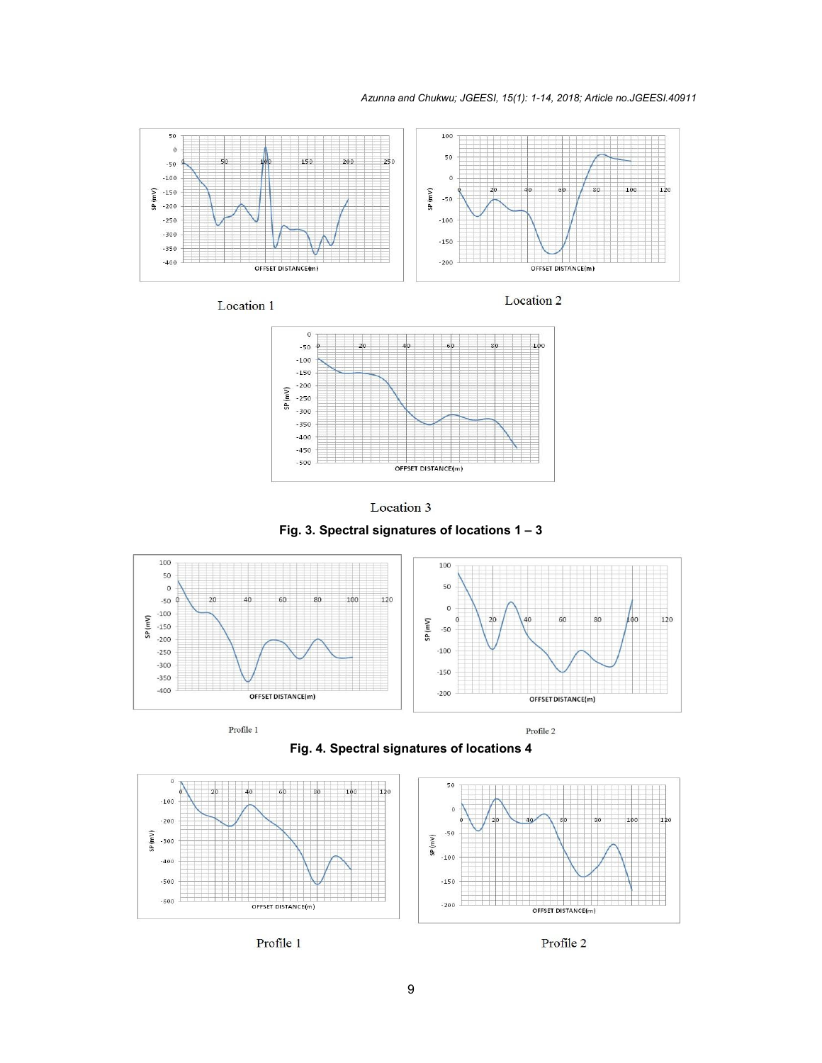*Azunna and Chukwu; JGEESI, 15(1): 1-14, 2018; Article no.JGEESI.40911*



Location 1

Location 2





**Fig. 3. Spectral signatures of locations 1 – 3**





**Fig. 4. Spectral signatures of locations 4**



Profile 1

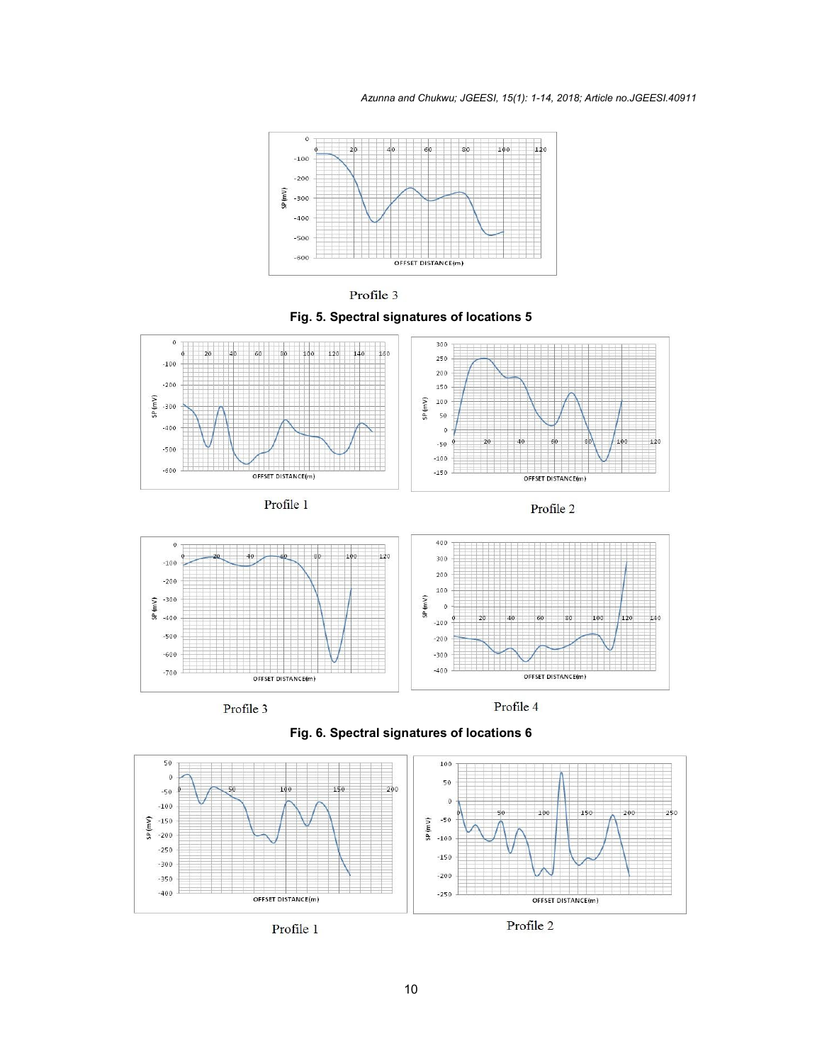







Profile 1





Profile 3

Profile 4



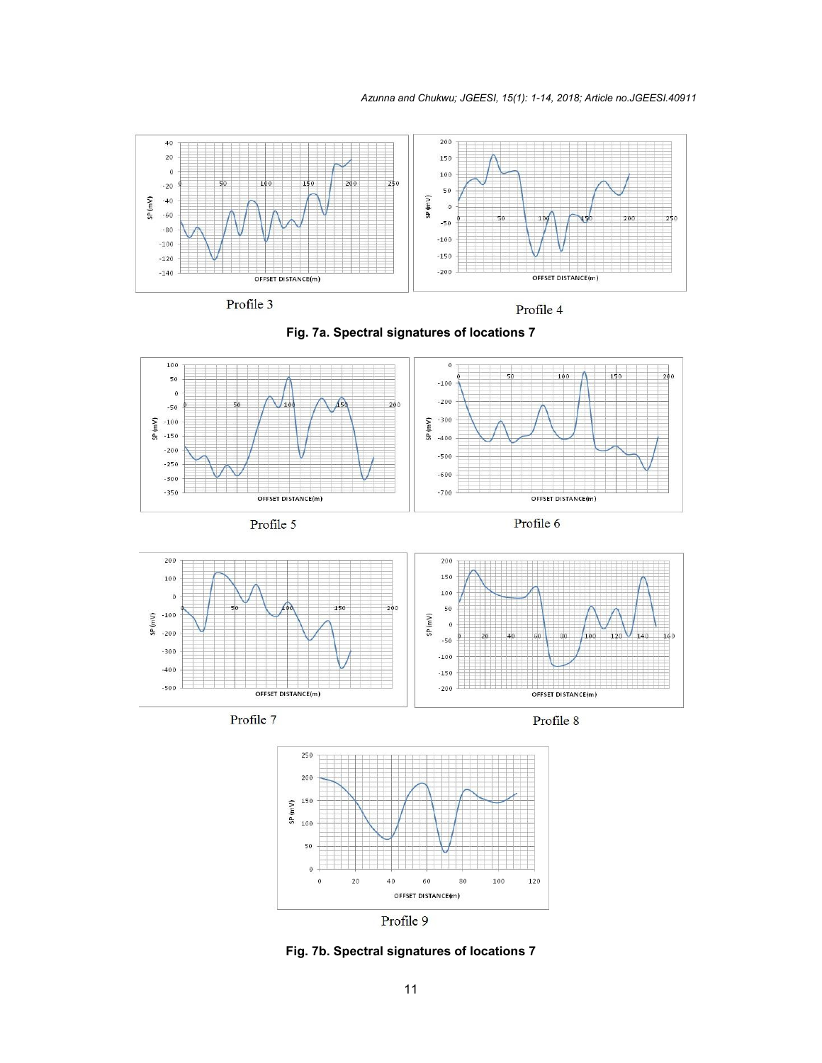













Profile 8



**Fig. 7b. Spectral signatures of locations 7**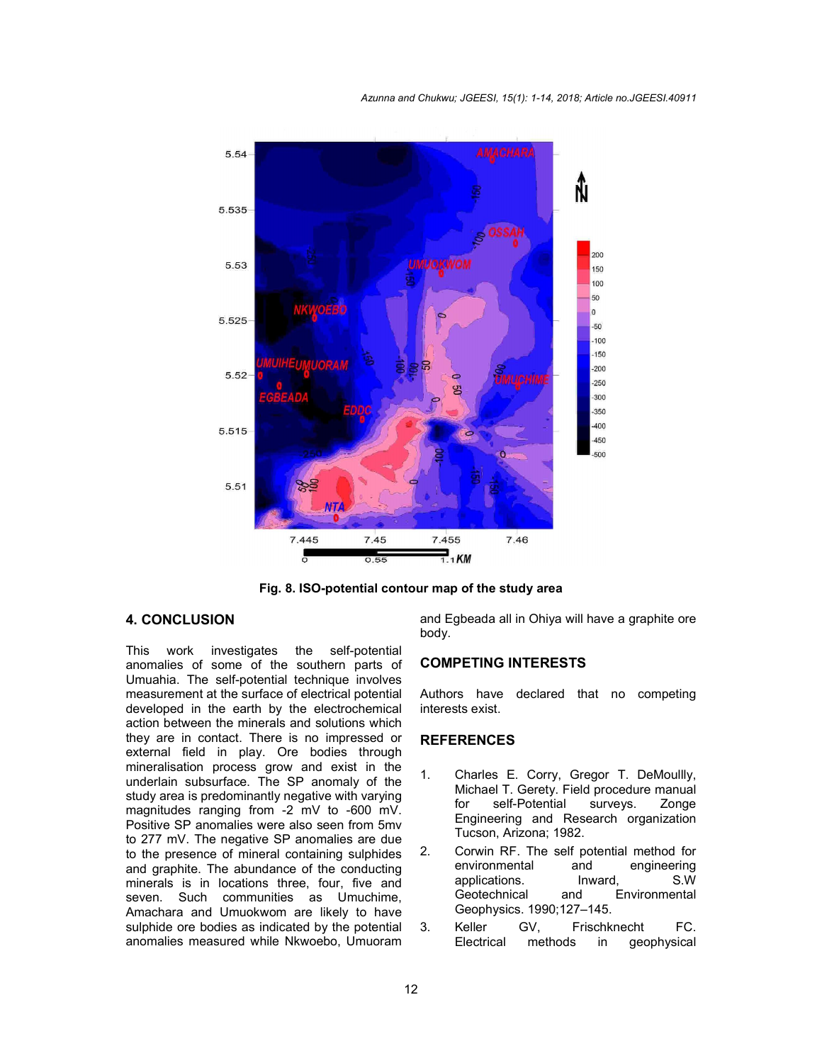

**Fig. 8. ISO-potential contour map of the study area**

## **4. CONCLUSION**

This work investigates the self-potential anomalies of some of the southern parts of Umuahia. The self-potential technique involves measurement at the surface of electrical potential developed in the earth by the electrochemical action between the minerals and solutions which they are in contact. There is no impressed or external field in play. Ore bodies through mineralisation process grow and exist in the underlain subsurface. The SP anomaly of the study area is predominantly negative with varying magnitudes ranging from -2 mV to -600 mV. Positive SP anomalies were also seen from 5mv to 277 mV. The negative SP anomalies are due to the presence of mineral containing sulphides and graphite. The abundance of the conducting minerals is in locations three, four, five and seven. Such communities as Umuchime, Amachara and Umuokwom are likely to have sulphide ore bodies as indicated by the potential anomalies measured while Nkwoebo, Umuoram

and Egbeada all in Ohiya will have a graphite ore body.

## **COMPETING INTERESTS**

Authors have declared that no competing interests exist.

#### **REFERENCES**

- 1. Charles E. Corry, Gregor T. DeMoullly, Michael T. Gerety. Field procedure manual for self-Potential surveys. Zonge Engineering and Research organization Tucson, Arizona; 1982.
- 2. Corwin RF. The self potential method for<br>environmental and engineering environmental and engineering applications. Inward, S.W<br>Geotechnical and Environmental and Environmental Geophysics. 1990;127–145.
- 3. Keller GV, Frischknecht FC. Electrical methods in geophysical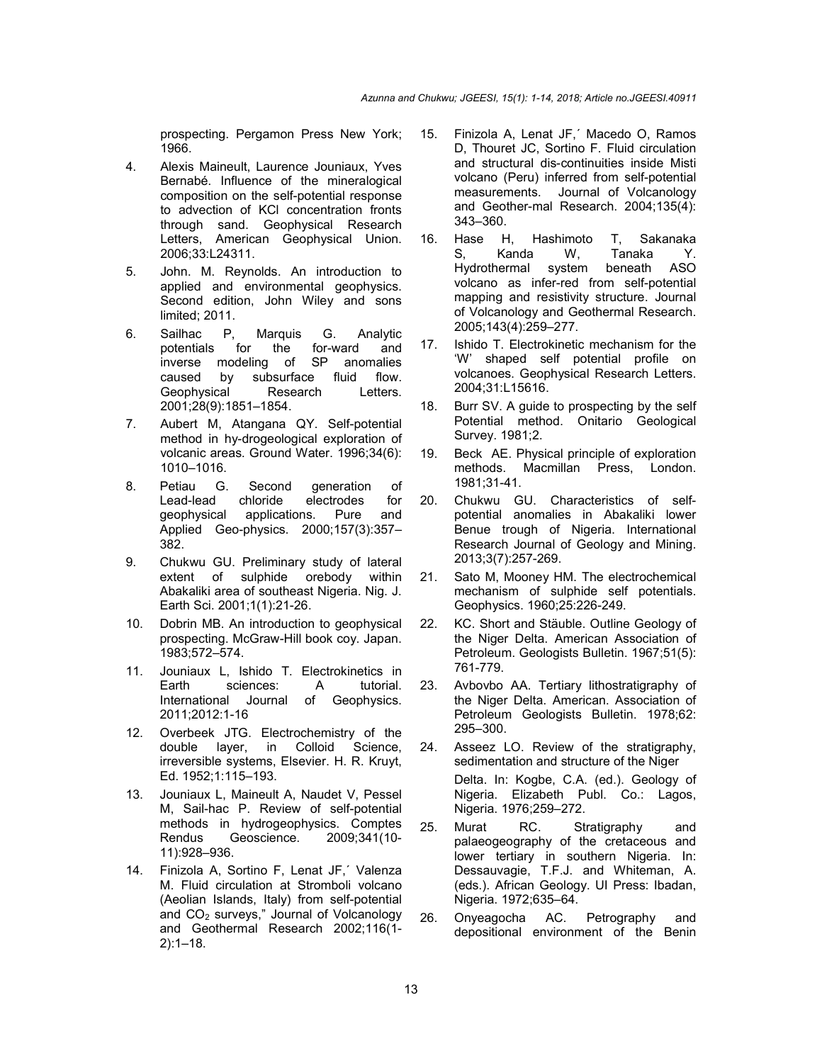prospecting. Pergamon Press New York; 1966.

- 4. Alexis Maineult, Laurence Jouniaux, Yves Bernabé. Influence of the mineralogical composition on the self-potential response to advection of KCl concentration fronts through sand. Geophysical Research Letters, American Geophysical Union. 2006;33:L24311.
- 5. John. M. Reynolds. An introduction to applied and environmental geophysics. Second edition, John Wiley and sons limited; 2011.
- 6. Sailhac P, Marquis G. Analytic potentials for the for-ward and inverse modeling of SP anomalies<br>caused by subsurface fluid flow. caused by subsurface fluid Geophysical Research Letters. 2001;28(9):1851–1854.
- 7. Aubert M, Atangana QY. Self-potential method in hy-drogeological exploration of volcanic areas. Ground Water. 1996;34(6): 1010–1016.
- 8. Petiau G. Second generation of Lead-lead chloride electrodes for geophysical applications. Pure and Applied Geo-physics. 2000;157(3):357– 382.
- 9. Chukwu GU. Preliminary study of lateral extent of sulphide orebody within Abakaliki area of southeast Nigeria. Nig. J. Earth Sci. 2001;1(1):21-26.
- 10. Dobrin MB. An introduction to geophysical prospecting. McGraw-Hill book coy. Japan. 1983;572–574.
- 11. Jouniaux L, Ishido T. Electrokinetics in Earth sciences: A tutorial. International Journal of Geophysics. 2011;2012:1-16
- 12. Overbeek JTG. Electrochemistry of the double layer, in Colloid Science, irreversible systems, Elsevier. H. R. Kruyt, Ed. 1952;1:115–193.
- 13. Jouniaux L, Maineult A, Naudet V, Pessel M, Sail-hac P. Review of self-potential methods in hydrogeophysics. Comptes Rendus Geoscience. 2009;341(10- 11):928–936.
- 14. Finizola A, Sortino F, Lenat JF,´ Valenza M. Fluid circulation at Stromboli volcano (Aeolian Islands, Italy) from self-potential and CO<sub>2</sub> surveys," Journal of Volcanology and Geothermal Research 2002;116(1- 2):1–18.
- 15. Finizola A, Lenat JF,´ Macedo O, Ramos D, Thouret JC, Sortino F. Fluid circulation and structural dis-continuities inside Misti volcano (Peru) inferred from self-potential measurements. Journal of Volcanology and Geother-mal Research. 2004;135(4): 343–360.
- 16. Hase H, Hashimoto T, Sakanaka S, Kanda W, Tanaka Y.<br>Hydrothermal system beneath ASO Hydrothermal system beneath ASO volcano as infer-red from self-potential mapping and re*s*istivity structure. Journal of Volcanology and Geothermal Research. 2005;143(4):259–277.
- 17. Ishido T. Electrokinetic mechanism for the 'W' shaped self potential profile on volcanoes. Geophysical Research Letters. 2004;31:L15616.
- 18. Burr SV. A guide to prospecting by the self Potential method. Onitario Geological Survey. 1981;2.
- 19. Beck AE. Physical principle of exploration methods. Macmillan Press, London. 1981;31-41.
- 20. Chukwu GU. Characteristics of selfpotential anomalies in Abakaliki lower Benue trough of Nigeria. International Research Journal of Geology and Mining. 2013;3(7):257-269.
- 21. Sato M, Mooney HM. The electrochemical mechanism of sulphide self potentials. Geophysics. 1960;25:226-249.
- 22. KC. Short and Stäuble. Outline Geology of the Niger Delta. American Association of Petroleum. Geologists Bulletin. 1967;51(5): 761-779.
- 23. Avbovbo AA. Tertiary lithostratigraphy of the Niger Delta. American. Association of Petroleum Geologists Bulletin. 1978;62: 295–300.
- 24. Asseez LO. Review of the stratigraphy, sedimentation and structure of the Niger Delta. In: Kogbe, C.A. (ed.). Geology of Nigeria. Elizabeth Publ. Co.: Lagos, Nigeria. 1976;259–272.
- 25. Murat RC. Stratigraphy and palaeogeography of the cretaceous and lower tertiary in southern Nigeria. In: Dessauvagie, T.F.J. and Whiteman, A. (eds.). African Geology. UI Press: Ibadan, Nigeria. 1972;635–64.
- 26. Onyeagocha AC. Petrography and depositional environment of the Benin